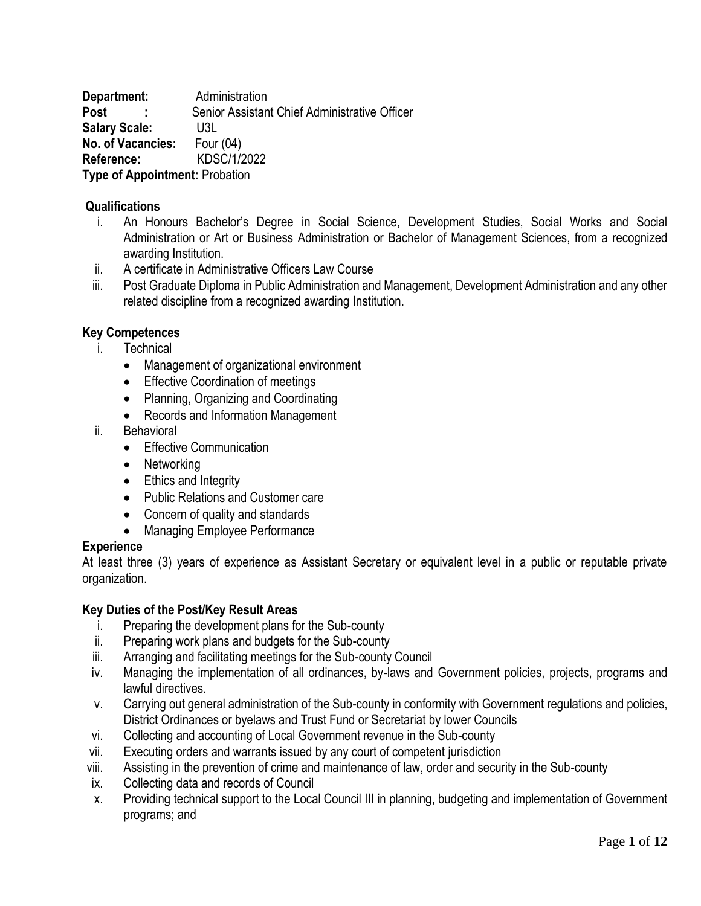**Department:** Administration **Post** : Senior Assistant Chief Administrative Officer **Salary Scale:** U3L **No. of Vacancies:** Four (04) **Reference:** KDSC/1/2022 **Type of Appointment:** Probation

## **Qualifications**

- i. An Honours Bachelor's Degree in Social Science, Development Studies, Social Works and Social Administration or Art or Business Administration or Bachelor of Management Sciences, from a recognized awarding Institution.
- ii. A certificate in Administrative Officers Law Course
- iii. Post Graduate Diploma in Public Administration and Management, Development Administration and any other related discipline from a recognized awarding Institution.

## **Key Competences**

- i. Technical
	- Management of organizational environment
	- **•** Effective Coordination of meetings
	- Planning, Organizing and Coordinating
	- Records and Information Management
- ii. Behavioral
	- Effective Communication
	- Networking
	- Ethics and Integrity
	- Public Relations and Customer care
	- Concern of quality and standards
	- Managing Employee Performance

### **Experience**

At least three (3) years of experience as Assistant Secretary or equivalent level in a public or reputable private organization.

- i. Preparing the development plans for the Sub-county
- ii. Preparing work plans and budgets for the Sub-county
- iii. Arranging and facilitating meetings for the Sub-county Council
- iv. Managing the implementation of all ordinances, by-laws and Government policies, projects, programs and lawful directives.
- v. Carrying out general administration of the Sub-county in conformity with Government regulations and policies, District Ordinances or byelaws and Trust Fund or Secretariat by lower Councils
- vi. Collecting and accounting of Local Government revenue in the Sub-county
- vii. Executing orders and warrants issued by any court of competent jurisdiction
- viii. Assisting in the prevention of crime and maintenance of law, order and security in the Sub-county
- ix. Collecting data and records of Council
- x. Providing technical support to the Local Council III in planning, budgeting and implementation of Government programs; and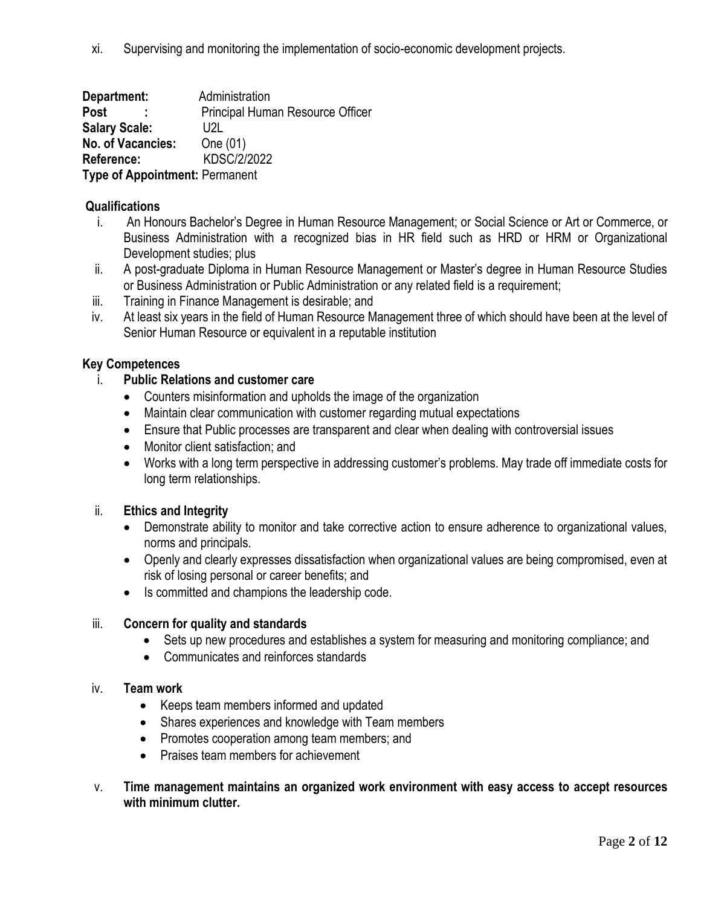**Department:** Administration **Post** : Principal Human Resource Officer **Salary Scale:** U2L **No. of Vacancies:** One (01) **Reference:** KDSC/2/2022 **Type of Appointment:** Permanent

# **Qualifications**

- i. An Honours Bachelor's Degree in Human Resource Management; or Social Science or Art or Commerce, or Business Administration with a recognized bias in HR field such as HRD or HRM or Organizational Development studies; plus
- ii. A post-graduate Diploma in Human Resource Management or Master's degree in Human Resource Studies or Business Administration or Public Administration or any related field is a requirement;
- iii. Training in Finance Management is desirable; and
- iv. At least six years in the field of Human Resource Management three of which should have been at the level of Senior Human Resource or equivalent in a reputable institution

## **Key Competences**

## i. **Public Relations and customer care**

- Counters misinformation and upholds the image of the organization
- Maintain clear communication with customer regarding mutual expectations
- Ensure that Public processes are transparent and clear when dealing with controversial issues
- Monitor client satisfaction: and
- Works with a long term perspective in addressing customer's problems. May trade off immediate costs for long term relationships.

## ii. **Ethics and Integrity**

- Demonstrate ability to monitor and take corrective action to ensure adherence to organizational values, norms and principals.
- Openly and clearly expresses dissatisfaction when organizational values are being compromised, even at risk of losing personal or career benefits; and
- Is committed and champions the leadership code.

## iii. **Concern for quality and standards**

- Sets up new procedures and establishes a system for measuring and monitoring compliance; and
- Communicates and reinforces standards

### iv. **Team work**

- Keeps team members informed and updated
- Shares experiences and knowledge with Team members
- Promotes cooperation among team members; and
- Praises team members for achievement
- v. **Time management maintains an organized work environment with easy access to accept resources with minimum clutter.**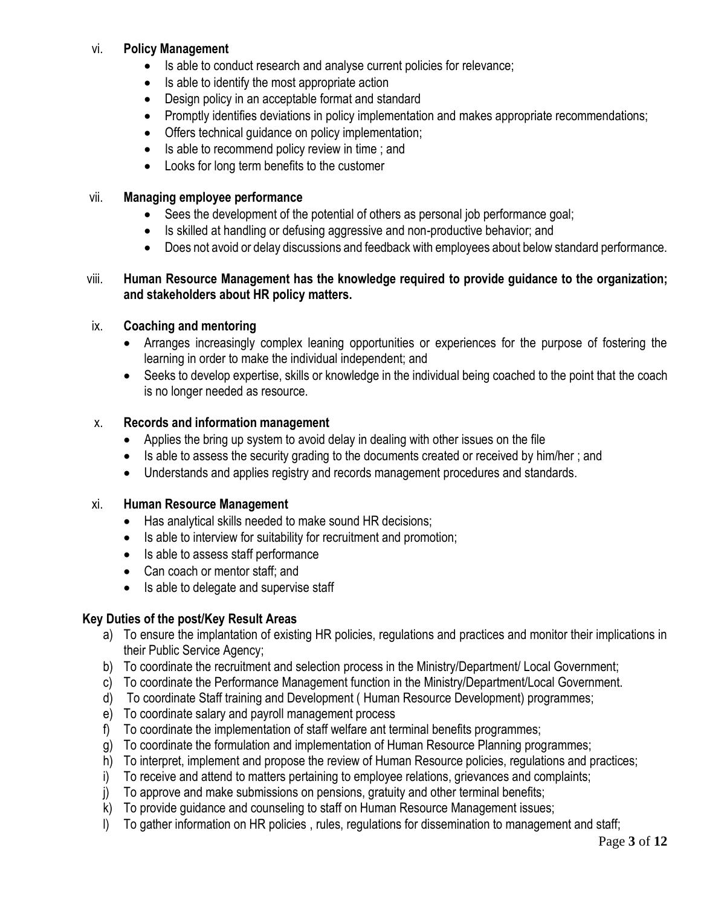## vi. **Policy Management**

- Is able to conduct research and analyse current policies for relevance;
- Is able to identify the most appropriate action
- Design policy in an acceptable format and standard
- Promptly identifies deviations in policy implementation and makes appropriate recommendations;
- Offers technical guidance on policy implementation;
- Is able to recommend policy review in time; and
- Looks for long term benefits to the customer

## vii. **Managing employee performance**

- Sees the development of the potential of others as personal job performance goal;
- Is skilled at handling or defusing aggressive and non-productive behavior; and
- Does not avoid or delay discussions and feedback with employees about below standard performance.

### viii. **Human Resource Management has the knowledge required to provide guidance to the organization; and stakeholders about HR policy matters.**

## ix. **Coaching and mentoring**

- Arranges increasingly complex leaning opportunities or experiences for the purpose of fostering the learning in order to make the individual independent; and
- Seeks to develop expertise, skills or knowledge in the individual being coached to the point that the coach is no longer needed as resource.

# x. **Records and information management**

- Applies the bring up system to avoid delay in dealing with other issues on the file
- Is able to assess the security grading to the documents created or received by him/her; and
- Understands and applies registry and records management procedures and standards.

## xi. **Human Resource Management**

- Has analytical skills needed to make sound HR decisions;
- Is able to interview for suitability for recruitment and promotion;
- Is able to assess staff performance
- Can coach or mentor staff; and
- Is able to delegate and supervise staff

- a) To ensure the implantation of existing HR policies, regulations and practices and monitor their implications in their Public Service Agency;
- b) To coordinate the recruitment and selection process in the Ministry/Department/ Local Government;
- c) To coordinate the Performance Management function in the Ministry/Department/Local Government.
- d) To coordinate Staff training and Development ( Human Resource Development) programmes;
- e) To coordinate salary and payroll management process
- f) To coordinate the implementation of staff welfare ant terminal benefits programmes;
- g) To coordinate the formulation and implementation of Human Resource Planning programmes;
- h) To interpret, implement and propose the review of Human Resource policies, regulations and practices;
- i) To receive and attend to matters pertaining to employee relations, grievances and complaints;
- j) To approve and make submissions on pensions, gratuity and other terminal benefits;
- k) To provide guidance and counseling to staff on Human Resource Management issues;
- l) To gather information on HR policies , rules, regulations for dissemination to management and staff;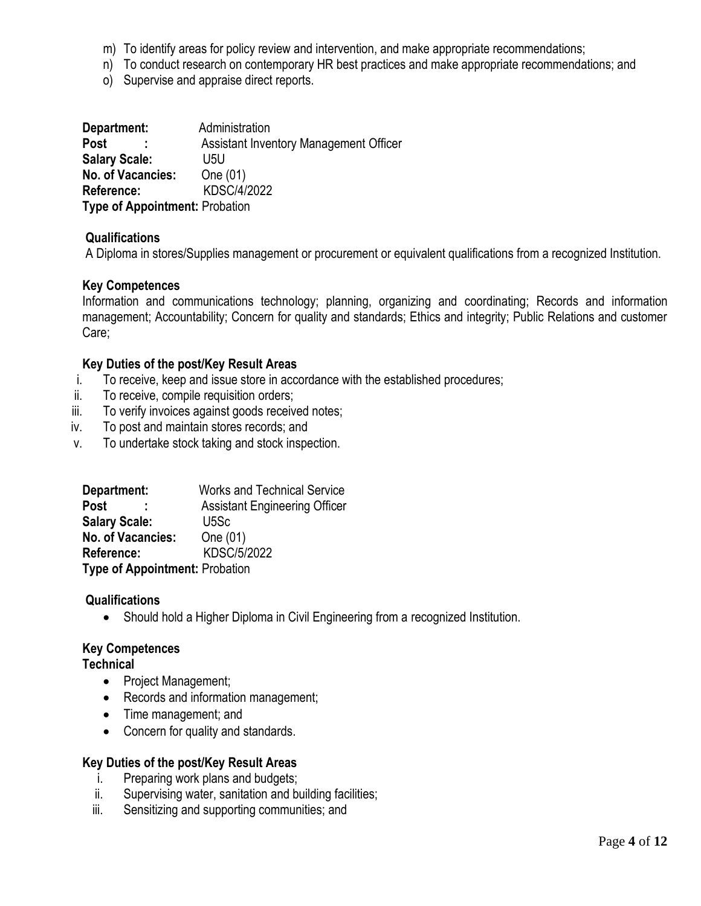- m) To identify areas for policy review and intervention, and make appropriate recommendations;
- n) To conduct research on contemporary HR best practices and make appropriate recommendations; and
- o) Supervise and appraise direct reports.

| Department:                           | Administration                                |
|---------------------------------------|-----------------------------------------------|
| <b>Post</b>                           | <b>Assistant Inventory Management Officer</b> |
| <b>Salary Scale:</b>                  | U5U                                           |
| <b>No. of Vacancies:</b>              | One (01)                                      |
| Reference:                            | KDSC/4/2022                                   |
| <b>Type of Appointment: Probation</b> |                                               |

### **Qualifications**

A Diploma in stores/Supplies management or procurement or equivalent qualifications from a recognized Institution.

### **Key Competences**

Information and communications technology; planning, organizing and coordinating; Records and information management; Accountability; Concern for quality and standards; Ethics and integrity; Public Relations and customer Care;

### **Key Duties of the post/Key Result Areas**

- i. To receive, keep and issue store in accordance with the established procedures;
- ii. To receive, compile requisition orders;
- iii. To verify invoices against goods received notes;
- iv. To post and maintain stores records; and
- v. To undertake stock taking and stock inspection.

| Department:                           | <b>Works and Technical Service</b>   |
|---------------------------------------|--------------------------------------|
| <b>Post</b>                           | <b>Assistant Engineering Officer</b> |
| <b>Salary Scale:</b>                  | U <sub>5</sub> Sc                    |
| <b>No. of Vacancies:</b>              | One (01)                             |
| Reference:                            | <b>KDSC/5/2022</b>                   |
| <b>Type of Appointment: Probation</b> |                                      |

### **Qualifications**

• Should hold a Higher Diploma in Civil Engineering from a recognized Institution.

## **Key Competences**

### **Technical**

- Project Management;
- Records and information management;
- Time management; and
- Concern for quality and standards.

- i. Preparing work plans and budgets;
- ii. Supervising water, sanitation and building facilities;
- iii. Sensitizing and supporting communities; and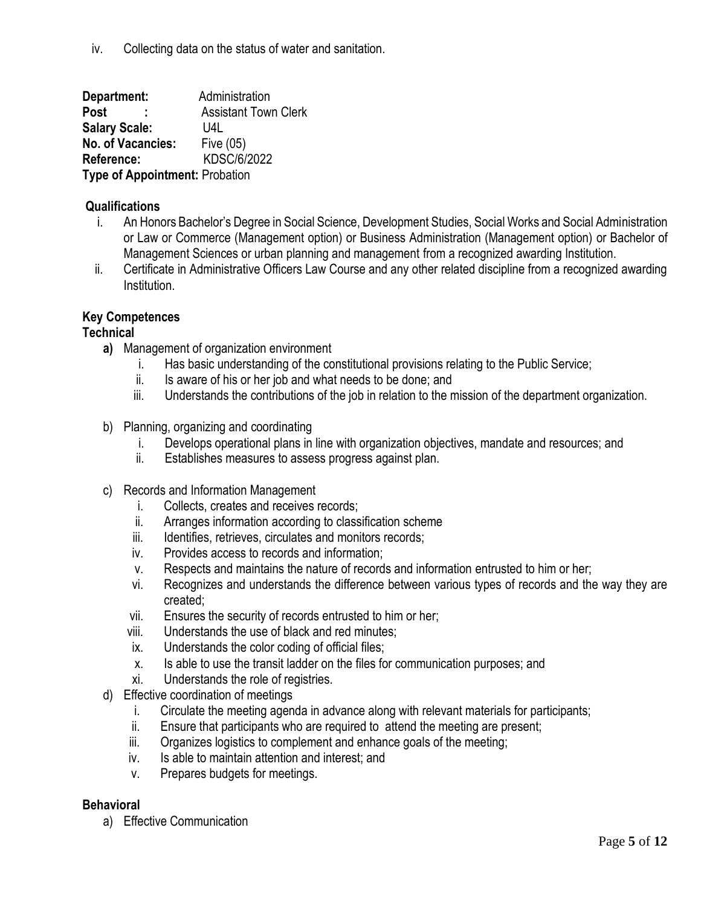iv. Collecting data on the status of water and sanitation.

**Department:** Administration **Post :** Assistant Town Clerk **Salary Scale:** U4L **No. of Vacancies:** Five (05) **Reference:** KDSC/6/2022 **Type of Appointment:** Probation

# **Qualifications**

- i. An Honors Bachelor's Degree in Social Science, Development Studies, Social Works and Social Administration or Law or Commerce (Management option) or Business Administration (Management option) or Bachelor of Management Sciences or urban planning and management from a recognized awarding Institution.
- ii. Certificate in Administrative Officers Law Course and any other related discipline from a recognized awarding Institution.

## **Key Competences**

## **Technical**

- **a)** Management of organization environment
	- i. Has basic understanding of the constitutional provisions relating to the Public Service;
	- ii. Is aware of his or her job and what needs to be done; and
	- iii. Understands the contributions of the job in relation to the mission of the department organization.
- b) Planning, organizing and coordinating
	- i. Develops operational plans in line with organization objectives, mandate and resources; and
	- ii. Establishes measures to assess progress against plan.
- c) Records and Information Management
	- i. Collects, creates and receives records;
	- ii. Arranges information according to classification scheme
	- iii. Identifies, retrieves, circulates and monitors records;
	- iv. Provides access to records and information;
	- v. Respects and maintains the nature of records and information entrusted to him or her;
	- vi. Recognizes and understands the difference between various types of records and the way they are created;
	- vii. Ensures the security of records entrusted to him or her;
	- viii. Understands the use of black and red minutes;
	- ix. Understands the color coding of official files;
	- x. Is able to use the transit ladder on the files for communication purposes; and
	- xi. Understands the role of registries.
- d) Effective coordination of meetings
	- i. Circulate the meeting agenda in advance along with relevant materials for participants;
	- ii. Ensure that participants who are required to attend the meeting are present;
	- iii. Organizes logistics to complement and enhance goals of the meeting;
	- iv. Is able to maintain attention and interest; and
	- v. Prepares budgets for meetings.

## **Behavioral**

a) Effective Communication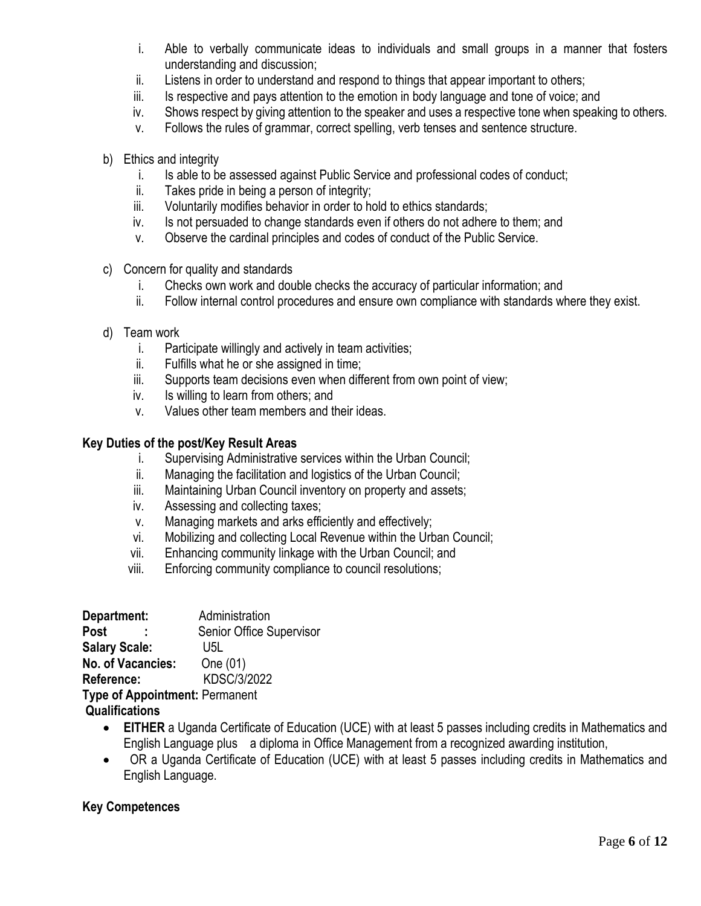- i. Able to verbally communicate ideas to individuals and small groups in a manner that fosters understanding and discussion;
- ii. Listens in order to understand and respond to things that appear important to others;
- iii. Is respective and pays attention to the emotion in body language and tone of voice; and
- iv. Shows respect by giving attention to the speaker and uses a respective tone when speaking to others.
- v. Follows the rules of grammar, correct spelling, verb tenses and sentence structure.
- b) Ethics and integrity
	- i. Is able to be assessed against Public Service and professional codes of conduct;
	- ii. Takes pride in being a person of integrity;
	- iii. Voluntarily modifies behavior in order to hold to ethics standards;
	- iv. Is not persuaded to change standards even if others do not adhere to them; and
	- v. Observe the cardinal principles and codes of conduct of the Public Service.
- c) Concern for quality and standards
	- i. Checks own work and double checks the accuracy of particular information; and
	- ii. Follow internal control procedures and ensure own compliance with standards where they exist.
- d) Team work
	- i. Participate willingly and actively in team activities;
	- ii. Fulfills what he or she assigned in time;
	- iii. Supports team decisions even when different from own point of view;
	- iv. Is willing to learn from others; and
	- v. Values other team members and their ideas.

### **Key Duties of the post/Key Result Areas**

- i. Supervising Administrative services within the Urban Council;
- ii. Managing the facilitation and logistics of the Urban Council;
- iii. Maintaining Urban Council inventory on property and assets;
- iv. Assessing and collecting taxes;
- v. Managing markets and arks efficiently and effectively;
- vi. Mobilizing and collecting Local Revenue within the Urban Council;
- vii. Enhancing community linkage with the Urban Council; and
- viii. Enforcing community compliance to council resolutions;

| Department:                           | Administration           |
|---------------------------------------|--------------------------|
| Post                                  | Senior Office Supervisor |
| <b>Salary Scale:</b>                  | U5L                      |
| No. of Vacancies:                     | One (01)                 |
| Reference:                            | <b>KDSC/3/2022</b>       |
| <b>Type of Appointment: Permanent</b> |                          |

## **Qualifications**

- **EITHER** a Uganda Certificate of Education (UCE) with at least 5 passes including credits in Mathematics and English Language plus a diploma in Office Management from a recognized awarding institution,
- OR a Uganda Certificate of Education (UCE) with at least 5 passes including credits in Mathematics and English Language.

## **Key Competences**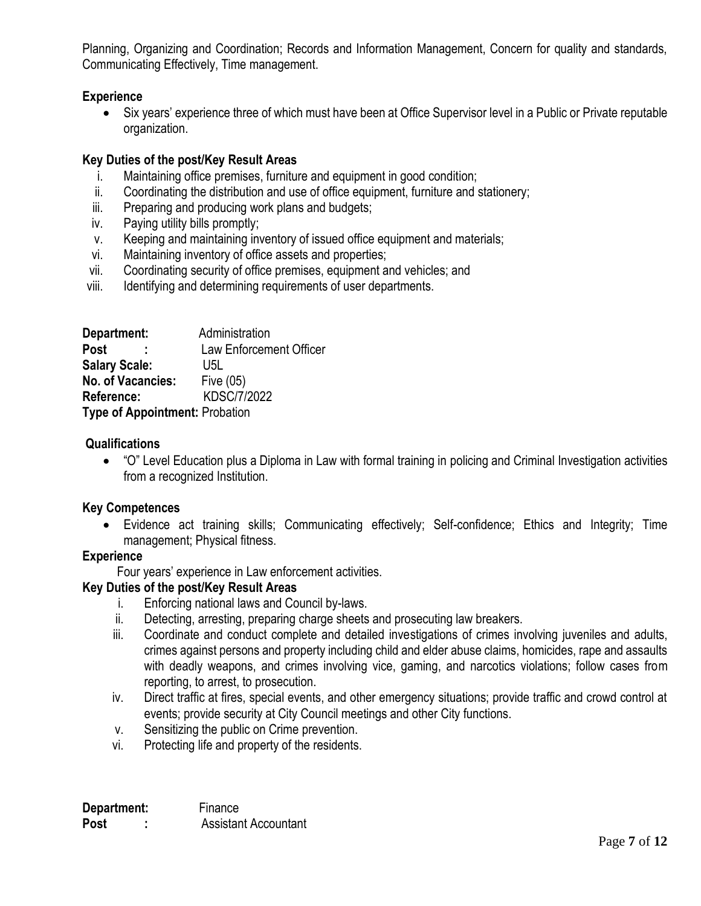Planning, Organizing and Coordination; Records and Information Management, Concern for quality and standards, Communicating Effectively, Time management.

### **Experience**

• Six years' experience three of which must have been at Office Supervisor level in a Public or Private reputable organization.

### **Key Duties of the post/Key Result Areas**

- i. Maintaining office premises, furniture and equipment in good condition;
- ii. Coordinating the distribution and use of office equipment, furniture and stationery;
- iii. Preparing and producing work plans and budgets;
- iv. Paying utility bills promptly;
- v. Keeping and maintaining inventory of issued office equipment and materials;
- vi. Maintaining inventory of office assets and properties;
- vii. Coordinating security of office premises, equipment and vehicles; and
- viii. Identifying and determining requirements of user departments.

| Department:                           | Administration          |
|---------------------------------------|-------------------------|
| Post                                  | Law Enforcement Officer |
| <b>Salary Scale:</b>                  | U5L                     |
| <b>No. of Vacancies:</b>              | Five (05)               |
| Reference:                            | <b>KDSC/7/2022</b>      |
| <b>Type of Appointment: Probation</b> |                         |

# **Qualifications**

 "O" Level Education plus a Diploma in Law with formal training in policing and Criminal Investigation activities from a recognized Institution.

## **Key Competences**

 Evidence act training skills; Communicating effectively; Self-confidence; Ethics and Integrity; Time management; Physical fitness.

## **Experience**

Four years' experience in Law enforcement activities.

- i. Enforcing national laws and Council by-laws.
- ii. Detecting, arresting, preparing charge sheets and prosecuting law breakers.
- iii. Coordinate and conduct complete and detailed investigations of crimes involving juveniles and adults, crimes against persons and property including child and elder abuse claims, homicides, rape and assaults with deadly weapons, and crimes involving vice, gaming, and narcotics violations; follow cases from reporting, to arrest, to prosecution.
- iv. Direct traffic at fires, special events, and other emergency situations; provide traffic and crowd control at events; provide security at City Council meetings and other City functions.
- v. Sensitizing the public on Crime prevention.
- vi. Protecting life and property of the residents.

| Department: | Finance                     |
|-------------|-----------------------------|
| <b>Post</b> | <b>Assistant Accountant</b> |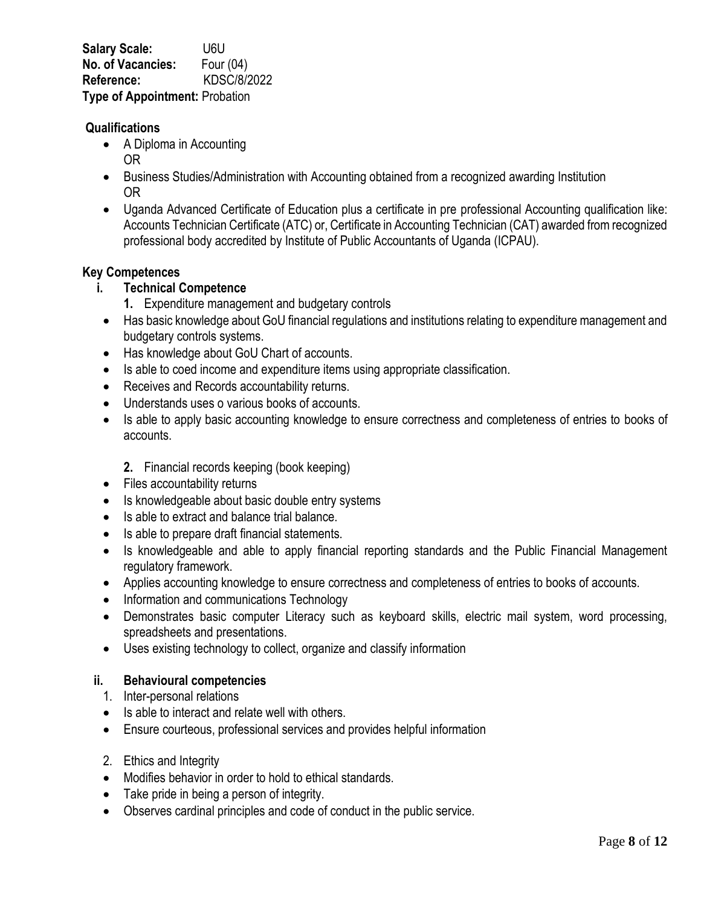**Salary Scale:** U6U **No. of Vacancies:** Four (04) **Reference:** KDSC/8/2022 **Type of Appointment:** Probation

## **Qualifications**

- A Diploma in Accounting OR
- Business Studies/Administration with Accounting obtained from a recognized awarding Institution OR
- Uganda Advanced Certificate of Education plus a certificate in pre professional Accounting qualification like: Accounts Technician Certificate (ATC) or, Certificate in Accounting Technician (CAT) awarded from recognized professional body accredited by Institute of Public Accountants of Uganda (ICPAU).

### **Key Competences**

- **i. Technical Competence**
	- **1.** Expenditure management and budgetary controls
	- Has basic knowledge about GoU financial regulations and institutions relating to expenditure management and budgetary controls systems.
	- Has knowledge about GoU Chart of accounts.
	- Is able to coed income and expenditure items using appropriate classification.
- Receives and Records accountability returns.
- Understands uses o various books of accounts.
- Is able to apply basic accounting knowledge to ensure correctness and completeness of entries to books of accounts.
	- **2.** Financial records keeping (book keeping)
- Files accountability returns
- Is knowledgeable about basic double entry systems
- Is able to extract and balance trial balance.
- Is able to prepare draft financial statements.
- Is knowledgeable and able to apply financial reporting standards and the Public Financial Management regulatory framework.
- Applies accounting knowledge to ensure correctness and completeness of entries to books of accounts.
- Information and communications Technology
- Demonstrates basic computer Literacy such as keyboard skills, electric mail system, word processing, spreadsheets and presentations.
- Uses existing technology to collect, organize and classify information

## **ii. Behavioural competencies**

- 1. Inter-personal relations
- Is able to interact and relate well with others.
- Ensure courteous, professional services and provides helpful information
- 2. Ethics and Integrity
- Modifies behavior in order to hold to ethical standards.
- Take pride in being a person of integrity.
- Observes cardinal principles and code of conduct in the public service.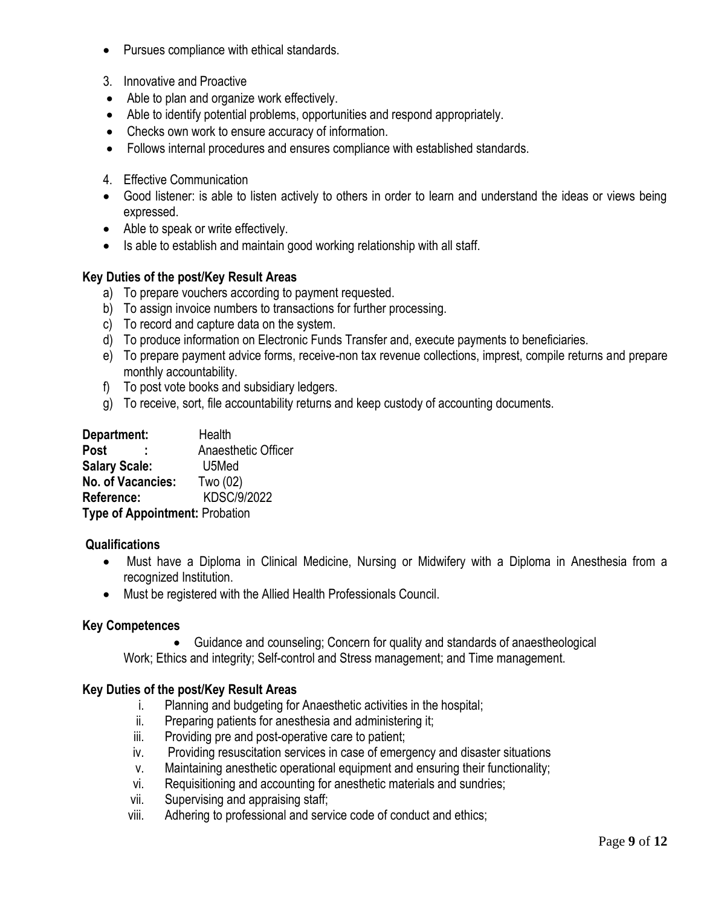- Pursues compliance with ethical standards.
- 3. Innovative and Proactive
- Able to plan and organize work effectively.
- Able to identify potential problems, opportunities and respond appropriately.
- Checks own work to ensure accuracy of information.
- Follows internal procedures and ensures compliance with established standards.
- 4. Effective Communication
- Good listener: is able to listen actively to others in order to learn and understand the ideas or views being expressed.
- Able to speak or write effectively.
- Is able to establish and maintain good working relationship with all staff.

# **Key Duties of the post/Key Result Areas**

- a) To prepare vouchers according to payment requested.
- b) To assign invoice numbers to transactions for further processing.
- c) To record and capture data on the system.
- d) To produce information on Electronic Funds Transfer and, execute payments to beneficiaries.
- e) To prepare payment advice forms, receive-non tax revenue collections, imprest, compile returns and prepare monthly accountability.
- f) To post vote books and subsidiary ledgers.
- g) To receive, sort, file accountability returns and keep custody of accounting documents.

| Department:                           | Health              |
|---------------------------------------|---------------------|
| <b>Post</b>                           | Anaesthetic Officer |
| <b>Salary Scale:</b>                  | U5Med               |
| No. of Vacancies:                     | Two (02)            |
| Reference:                            | KDSC/9/2022         |
| <b>Type of Appointment: Probation</b> |                     |

## **Qualifications**

- Must have a Diploma in Clinical Medicine, Nursing or Midwifery with a Diploma in Anesthesia from a recognized Institution.
- Must be registered with the Allied Health Professionals Council.

## **Key Competences**

 Guidance and counseling; Concern for quality and standards of anaestheological Work; Ethics and integrity; Self-control and Stress management; and Time management.

- i. Planning and budgeting for Anaesthetic activities in the hospital;
- ii. Preparing patients for anesthesia and administering it;
- iii. Providing pre and post-operative care to patient;
- iv. Providing resuscitation services in case of emergency and disaster situations
- v. Maintaining anesthetic operational equipment and ensuring their functionality;
- vi. Requisitioning and accounting for anesthetic materials and sundries;
- vii. Supervising and appraising staff;
- viii. Adhering to professional and service code of conduct and ethics;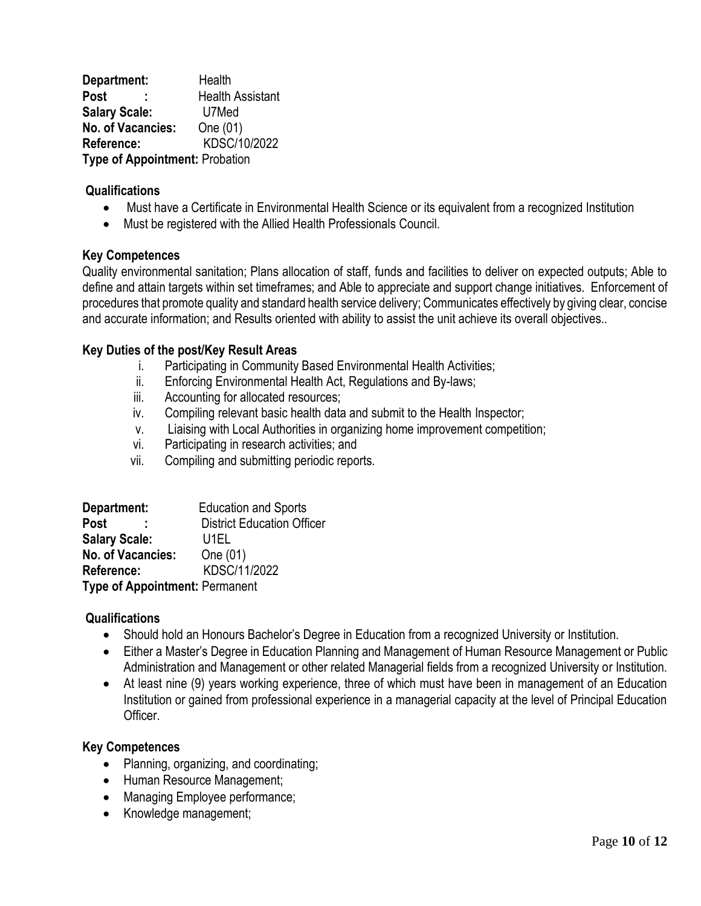**Department:** Health Post : **Health Assistant Salary Scale:** U7Med **No. of Vacancies:** One (01) **Reference:** KDSC/10/2022 **Type of Appointment:** Probation

### **Qualifications**

- Must have a Certificate in Environmental Health Science or its equivalent from a recognized Institution
- Must be registered with the Allied Health Professionals Council.

### **Key Competences**

Quality environmental sanitation; Plans allocation of staff, funds and facilities to deliver on expected outputs; Able to define and attain targets within set timeframes; and Able to appreciate and support change initiatives. Enforcement of procedures that promote quality and standard health service delivery; Communicates effectively by giving clear, concise and accurate information; and Results oriented with ability to assist the unit achieve its overall objectives..

### **Key Duties of the post/Key Result Areas**

- i. Participating in Community Based Environmental Health Activities;
- ii. Enforcing Environmental Health Act, Regulations and By-laws;
- iii. Accounting for allocated resources;
- iv. Compiling relevant basic health data and submit to the Health Inspector;
- v. Liaising with Local Authorities in organizing home improvement competition;
- vi. Participating in research activities; and
- vii. Compiling and submitting periodic reports.

| Department:                           | <b>Education and Sports</b>       |
|---------------------------------------|-----------------------------------|
| <b>Post</b>                           | <b>District Education Officer</b> |
| <b>Salary Scale:</b>                  | U1EL                              |
| No. of Vacancies:                     | One (01)                          |
| Reference:                            | KDSC/11/2022                      |
| <b>Type of Appointment: Permanent</b> |                                   |

### **Qualifications**

- Should hold an Honours Bachelor's Degree in Education from a recognized University or Institution.
- Either a Master's Degree in Education Planning and Management of Human Resource Management or Public Administration and Management or other related Managerial fields from a recognized University or Institution.
- At least nine (9) years working experience, three of which must have been in management of an Education Institution or gained from professional experience in a managerial capacity at the level of Principal Education **Officer**

### **Key Competences**

- Planning, organizing, and coordinating;
- Human Resource Management;
- Managing Employee performance;
- Knowledge management;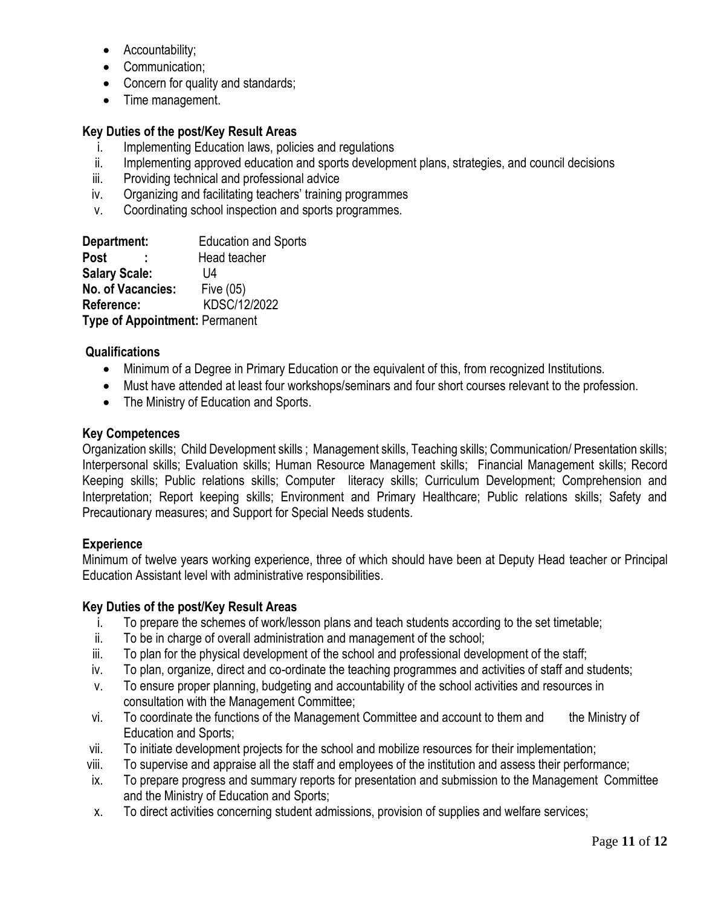- Accountability;
- Communication;
- Concern for quality and standards;
- Time management.

### **Key Duties of the post/Key Result Areas**

- i. Implementing Education laws, policies and regulations
- ii. Implementing approved education and sports development plans, strategies, and council decisions
- iii. Providing technical and professional advice
- iv. Organizing and facilitating teachers' training programmes
- v. Coordinating school inspection and sports programmes.

| Department:                           | <b>Education and Sports</b> |
|---------------------------------------|-----------------------------|
| Post                                  | Head teacher                |
| <b>Salary Scale:</b>                  | l 14                        |
| No. of Vacancies:                     | Five (05)                   |
| Reference:                            | KDSC/12/2022                |
| <b>Type of Appointment: Permanent</b> |                             |

### **Qualifications**

- Minimum of a Degree in Primary Education or the equivalent of this, from recognized Institutions.
- Must have attended at least four workshops/seminars and four short courses relevant to the profession.
- The Ministry of Education and Sports.

### **Key Competences**

Organization skills; Child Development skills ; Management skills, Teaching skills; Communication/ Presentation skills; Interpersonal skills; Evaluation skills; Human Resource Management skills; Financial Management skills; Record Keeping skills; Public relations skills; Computer literacy skills; Curriculum Development; Comprehension and Interpretation; Report keeping skills; Environment and Primary Healthcare; Public relations skills; Safety and Precautionary measures; and Support for Special Needs students.

### **Experience**

Minimum of twelve years working experience, three of which should have been at Deputy Head teacher or Principal Education Assistant level with administrative responsibilities.

- i. To prepare the schemes of work/lesson plans and teach students according to the set timetable;
- ii. To be in charge of overall administration and management of the school;
- iii. To plan for the physical development of the school and professional development of the staff;
- iv. To plan, organize, direct and co-ordinate the teaching programmes and activities of staff and students;
- v. To ensure proper planning, budgeting and accountability of the school activities and resources in consultation with the Management Committee;
- vi. To coordinate the functions of the Management Committee and account to them and the Ministry of Education and Sports;
- vii. To initiate development projects for the school and mobilize resources for their implementation;
- viii. To supervise and appraise all the staff and employees of the institution and assess their performance;
- ix. To prepare progress and summary reports for presentation and submission to the Management Committee and the Ministry of Education and Sports;
- x. To direct activities concerning student admissions, provision of supplies and welfare services;